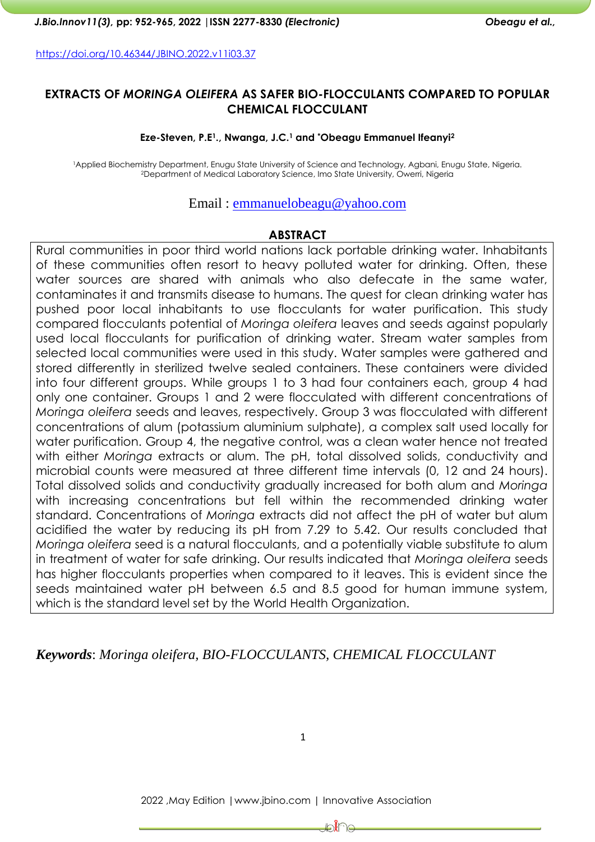<https://doi.org/10.46344/JBINO.2022.v11i03.37>

### **EXTRACTS OF** *MORINGA OLEIFERA* **AS SAFER BIO-FLOCCULANTS COMPARED TO POPULAR CHEMICAL FLOCCULANT**

#### **Eze-Steven, P.E1., Nwanga, J.C.<sup>1</sup> and \*Obeagu Emmanuel Ifeanyi<sup>2</sup>**

<sup>1</sup>Applied Biochemistry Department, Enugu State University of Science and Technology, Agbani, Enugu State, Nigeria. <sup>2</sup>Department of Medical Laboratory Science, Imo State University, Owerri, Nigeria

#### Email : [emmanuelobeagu@yahoo.com](mailto:emmanuelobeagu@yahoo.com)

#### **ABSTRACT**

Rural communities in poor third world nations lack portable drinking water. Inhabitants of these communities often resort to heavy polluted water for drinking. Often, these water sources are shared with animals who also defecate in the same water, contaminates it and transmits disease to humans. The quest for clean drinking water has pushed poor local inhabitants to use flocculants for water purification. This study compared flocculants potential of *Moringa oleifera* leaves and seeds against popularly used local flocculants for purification of drinking water. Stream water samples from selected local communities were used in this study. Water samples were gathered and stored differently in sterilized twelve sealed containers. These containers were divided into four different groups. While groups 1 to 3 had four containers each, group 4 had only one container. Groups 1 and 2 were flocculated with different concentrations of *Moringa oleifera* seeds and leaves, respectively. Group 3 was flocculated with different concentrations of alum (potassium aluminium sulphate), a complex salt used locally for water purification. Group 4, the negative control, was a clean water hence not treated with either *Moringa* extracts or alum. The pH, total dissolved solids, conductivity and microbial counts were measured at three different time intervals (0, 12 and 24 hours). Total dissolved solids and conductivity gradually increased for both alum and *Moringa* with increasing concentrations but fell within the recommended drinking water standard. Concentrations of *Moringa* extracts did not affect the pH of water but alum acidified the water by reducing its pH from 7.29 to 5.42. Our results concluded that *Moringa oleifera* seed is a natural flocculants, and a potentially viable substitute to alum in treatment of water for safe drinking. Our results indicated that *Moringa oleifera* seeds has higher flocculants properties when compared to it leaves. This is evident since the seeds maintained water pH between 6.5 and 8.5 good for human immune system, which is the standard level set by the World Health Organization.

### *Keywords*: *Moringa oleifera, BIO-FLOCCULANTS, CHEMICAL FLOCCULANT*

1

⊫ิหั

2022 ,May Edition |www.jbino.com | Innovative Association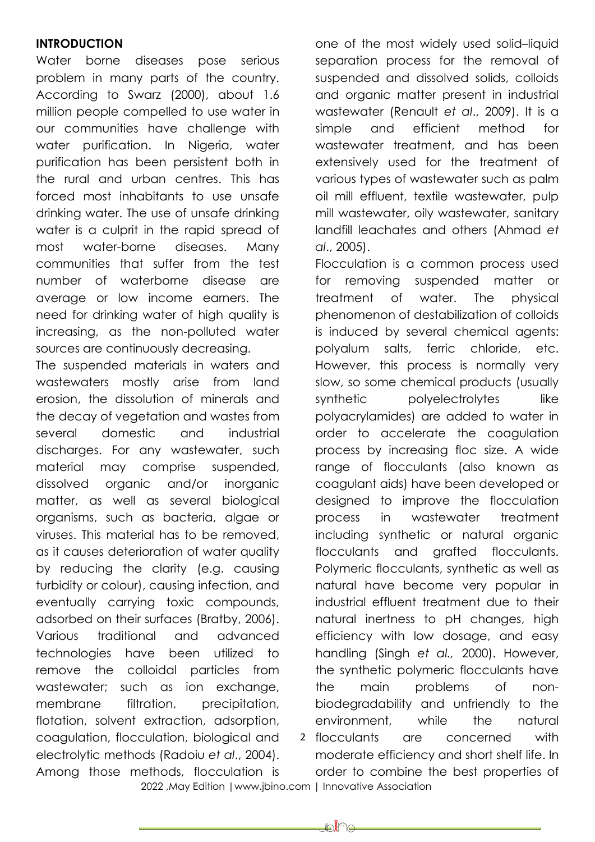### **INTRODUCTION**

Water borne diseases pose serious problem in many parts of the country. According to Swarz (2000), about 1.6 million people compelled to use water in our communities have challenge with water purification. In Nigeria, water purification has been persistent both in the rural and urban centres. This has forced most inhabitants to use unsafe drinking water. The use of unsafe drinking water is a culprit in the rapid spread of most water-borne diseases. Many communities that suffer from the test number of waterborne disease are average or low income earners. The need for drinking water of high quality is increasing, as the non-polluted water sources are continuously decreasing.

The suspended materials in waters and wastewaters mostly arise from land erosion, the dissolution of minerals and the decay of vegetation and wastes from several domestic and industrial discharges. For any wastewater, such material may comprise suspended, dissolved organic and/or inorganic matter, as well as several biological organisms, such as bacteria, algae or viruses. This material has to be removed, as it causes deterioration of water quality by reducing the clarity (e.g. causing turbidity or colour), causing infection, and eventually carrying toxic compounds, adsorbed on their surfaces (Bratby, 2006). Various traditional and advanced technologies have been utilized to remove the colloidal particles from wastewater; such as ion exchange, membrane filtration, precipitation, flotation, solvent extraction, adsorption, coagulation, flocculation, biological and electrolytic methods (Radoiu *et al*., 2004). Among those methods, flocculation is

one of the most widely used solid–liquid separation process for the removal of suspended and dissolved solids, colloids and organic matter present in industrial wastewater (Renault *et al*., 2009). It is a simple and efficient method for wastewater treatment, and has been extensively used for the treatment of various types of wastewater such as palm oil mill effluent, textile wastewater, pulp mill wastewater, oily wastewater, sanitary landfill leachates and others (Ahmad *et al*., 2005).

2 flocculants Flocculation is a common process used for removing suspended matter or treatment of water. The physical phenomenon of destabilization of colloids is induced by several chemical agents: polyalum salts, ferric chloride, etc. However, this process is normally very slow, so some chemical products (usually synthetic polyelectrolytes like polyacrylamides) are added to water in order to accelerate the coagulation process by increasing floc size. A wide range of flocculants (also known as coagulant aids) have been developed or designed to improve the flocculation process in wastewater treatment including synthetic or natural organic flocculants and grafted flocculants. Polymeric flocculants, synthetic as well as natural have become very popular in industrial effluent treatment due to their natural inertness to pH changes, high efficiency with low dosage, and easy handling (Singh *et al.,* 2000). However, the synthetic polymeric flocculants have the main problems of nonbiodegradability and unfriendly to the environment, while the natural are concerned with

moderate efficiency and short shelf life. In order to combine the best properties of

2022 ,May Edition |www.jbino.com | Innovative Association

⊭มใา⊖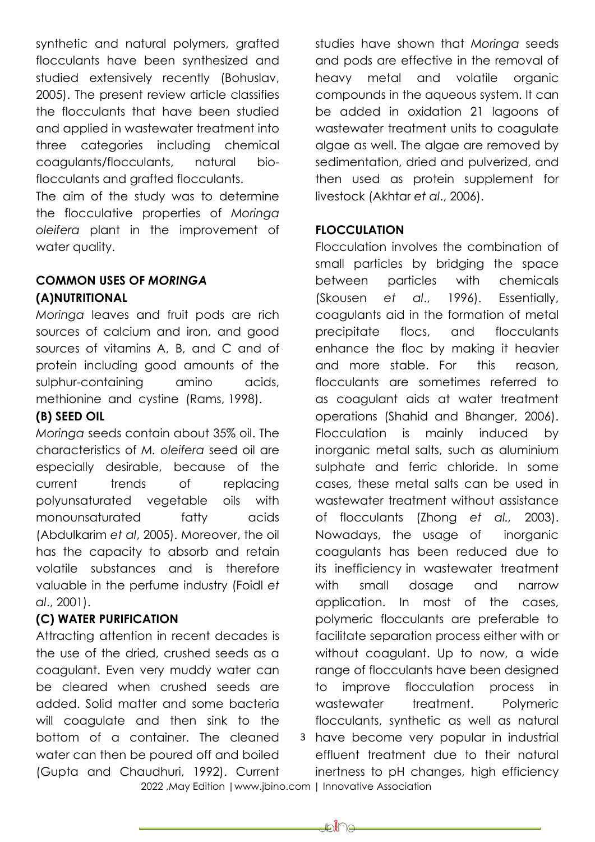synthetic and natural polymers, grafted flocculants have been synthesized and studied extensively recently (Bohuslav, 2005). The present review article classifies the flocculants that have been studied and applied in wastewater treatment into three categories including chemical coagulants/flocculants, natural bioflocculants and grafted flocculants.

The aim of the study was to determine the flocculative properties of *Moringa oleifera* plant in the improvement of water quality.

## **COMMON USES OF** *MORINGA* **(A)NUTRITIONAL**

*Moringa* leaves and fruit pods are rich sources of calcium and iron, and good sources of vitamins A, B, and C and of protein including good amounts of the sulphur-containing amino acids, methionine and cystine (Rams, 1998).

## **(B) SEED OIL**

*Moringa* seeds contain about 35% oil. The characteristics of *M. oleifera* seed oil are especially desirable, because of the current trends of replacing polyunsaturated vegetable oils with monounsaturated fatty acids (Abdulkarim *et al*, 2005). Moreover, the oil has the capacity to absorb and retain volatile substances and is therefore valuable in the perfume industry (Foidl *et al*., 2001).

## **(C) WATER PURIFICATION**

Attracting attention in recent decades is the use of the dried, crushed seeds as a coagulant. Even very muddy water can be cleared when crushed seeds are added. Solid matter and some bacteria will coagulate and then sink to the bottom of a container. The cleaned water can then be poured off and boiled (Gupta and Chaudhuri, 1992). Current

studies have shown that *Moringa* seeds and pods are effective in the removal of heavy metal and volatile organic compounds in the aqueous system. It can be added in oxidation 21 lagoons of wastewater treatment units to coagulate algae as well. The algae are removed by sedimentation, dried and pulverized, and then used as protein supplement for livestock (Akhtar *et al*., 2006).

## **FLOCCULATION**

3 have become very popular in industrial Flocculation involves the combination of small particles by bridging the space between particles with chemicals (Skousen *et al*., 1996). Essentially, coagulants aid in the formation of metal precipitate flocs, and flocculants enhance the floc by making it heavier and more stable. For this reason, flocculants are sometimes referred to as coagulant aids at water treatment operations (Shahid and Bhanger, 2006). Flocculation is mainly induced by inorganic metal salts, such as aluminium sulphate and ferric chloride. In some cases, these metal salts can be used in wastewater treatment without assistance of flocculants (Zhong *et al.,* 2003). Nowadays, the usage of inorganic coagulants has been reduced due to its inefficiency in wastewater treatment with small dosage and narrow application. In most of the cases, polymeric flocculants are preferable to facilitate separation process either with or without coagulant. Up to now, a wide range of flocculants have been designed to improve flocculation process in wastewater treatment. Polymeric flocculants, synthetic as well as natural

 2022 ,May Edition |www.jbino.com | Innovative Association effluent treatment due to their natural inertness to pH changes, high efficiency

₽€€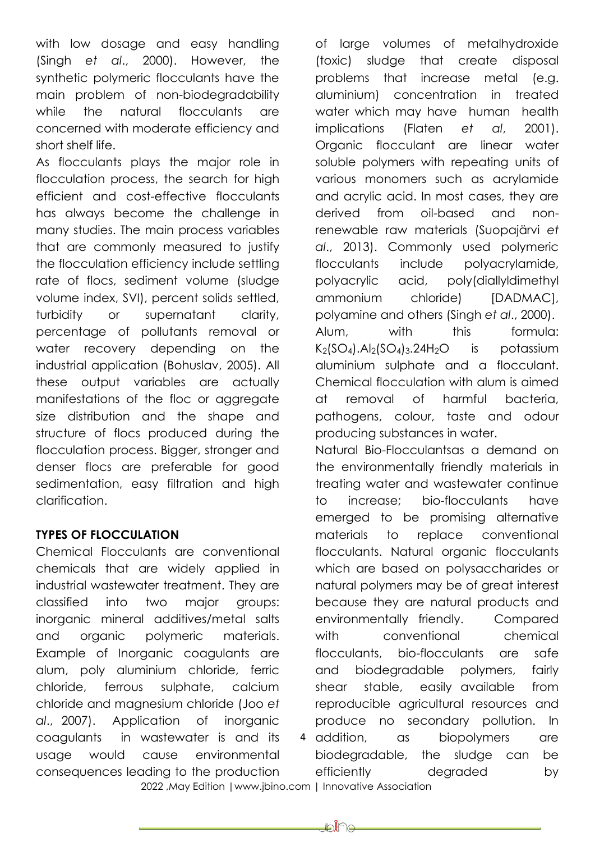with low dosage and easy handling (Singh *et al*., 2000). However, the synthetic polymeric flocculants have the main problem of non-biodegradability while the natural flocculants are concerned with moderate efficiency and short shelf life.

As flocculants plays the major role in flocculation process, the search for high efficient and cost-effective flocculants has always become the challenge in many studies. The main process variables that are commonly measured to justify the flocculation efficiency include settling rate of flocs, sediment volume (sludge volume index, SVI), percent solids settled, turbidity or supernatant clarity, percentage of pollutants removal or water recovery depending on the industrial application (Bohuslav, 2005). All these output variables are actually manifestations of the floc or aggregate size distribution and the shape and structure of flocs produced during the flocculation process. Bigger, stronger and denser flocs are preferable for good sedimentation, easy filtration and high clarification.

## **TYPES OF FLOCCULATION**

Chemical Flocculants are conventional chemicals that are widely applied in industrial wastewater treatment. They are classified into two major groups: inorganic mineral additives/metal salts and organic polymeric materials. Example of Inorganic coagulants are alum, poly aluminium chloride, ferric chloride, ferrous sulphate, calcium chloride and magnesium chloride (Joo *et al*., 2007). Application of inorganic coagulants in wastewater is and its usage would cause environmental consequences leading to the production of large volumes of metalhydroxide (toxic) sludge that create disposal problems that increase metal (e.g. aluminium) concentration in treated water which may have human health implications (Flaten *et al*, 2001). Organic flocculant are linear water soluble polymers with repeating units of various monomers such as acrylamide and acrylic acid. In most cases, they are derived from oil-based and nonrenewable raw materials (Suopajärvi *et al*., 2013). Commonly used polymeric flocculants include polyacrylamide, polyacrylic acid, poly(diallyldimethyl ammonium chloride) [DADMAC], polyamine and others (Singh *et al*., 2000). Alum, with this formula:  $K<sub>2</sub>(SO<sub>4</sub>)$ . Al<sub>2</sub> $(SO<sub>4</sub>)<sub>3</sub>$ . 24H<sub>2</sub>O is potassium aluminium sulphate and a flocculant. Chemical flocculation with alum is aimed at removal of harmful bacteria, pathogens, colour, taste and odour producing substances in water.

4 addition, Natural Bio-Flocculantsas a demand on the environmentally friendly materials in treating water and wastewater continue to increase; bio-flocculants have emerged to be promising alternative materials to replace conventional flocculants. Natural organic flocculants which are based on polysaccharides or natural polymers may be of great interest because they are natural products and environmentally friendly. Compared with conventional chemical flocculants, bio-flocculants are safe and biodegradable polymers, fairly shear stable, easily available from reproducible agricultural resources and produce no secondary pollution. In as biopolymers are biodegradable, the sludge can be efficiently degraded by

2022 ,May Edition |www.jbino.com | Innovative Association

⊯หื่อ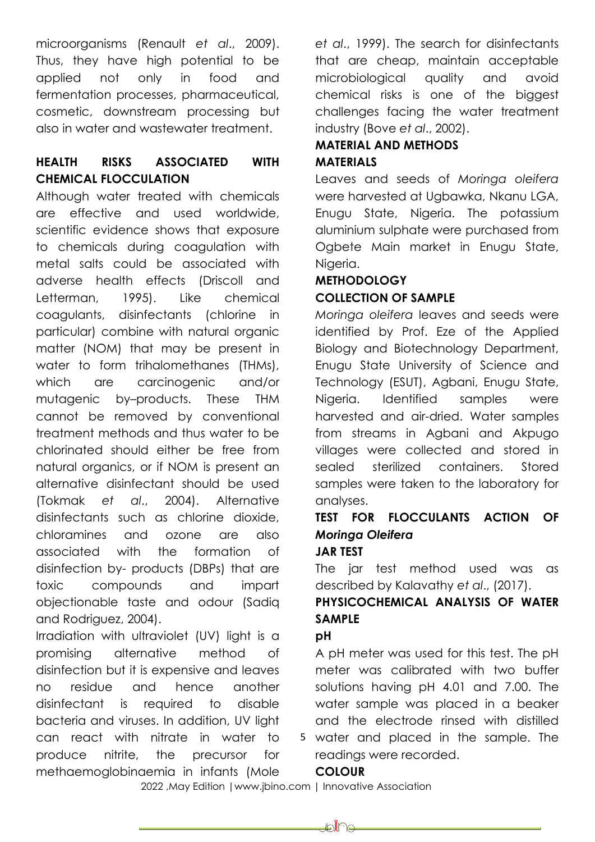microorganisms (Renault *et al*., 2009). Thus, they have high potential to be applied not only in food and fermentation processes, pharmaceutical, cosmetic, downstream processing but also in water and wastewater treatment.

## **HEALTH RISKS ASSOCIATED WITH CHEMICAL FLOCCULATION**

Although water treated with chemicals are effective and used worldwide, scientific evidence shows that exposure to chemicals during coagulation with metal salts could be associated with adverse health effects (Driscoll and Letterman, 1995). Like chemical coagulants, disinfectants (chlorine in particular) combine with natural organic matter (NOM) that may be present in water to form trihalomethanes (THMs), which are carcinogenic and/or mutagenic by–products. These THM cannot be removed by conventional treatment methods and thus water to be chlorinated should either be free from natural organics, or if NOM is present an alternative disinfectant should be used (Tokmak *et al*., 2004). Alternative disinfectants such as chlorine dioxide, chloramines and ozone are also associated with the formation of disinfection by- products (DBPs) that are toxic compounds and impart objectionable taste and odour (Sadiq and Rodriguez, 2004).

Irradiation with ultraviolet (UV) light is a promising alternative method of disinfection but it is expensive and leaves no residue and hence another disinfectant is required to disable bacteria and viruses. In addition, UV light can react with nitrate in water to produce nitrite, the precursor for methaemoglobinaemia in infants (Mole

*et al*., 1999). The search for disinfectants that are cheap, maintain acceptable microbiological quality and avoid chemical risks is one of the biggest challenges facing the water treatment industry (Bove *et al*., 2002).

## **MATERIAL AND METHODS MATERIALS**

Leaves and seeds of *Moringa oleifera* were harvested at Uabawka, Nkanu LGA, Enugu State, Nigeria. The potassium aluminium sulphate were purchased from Ogbete Main market in Enugu State, Niaeria.

## **METHODOLOGY COLLECTION OF SAMPLE**

*Moringa oleifera* leaves and seeds were identified by Prof. Eze of the Applied Biology and Biotechnology Department, Enugu State University of Science and Technology (ESUT), Agbani, Enugu State, Nigeria. Identified samples were harvested and air-dried. Water samples from streams in Agbani and Akpugo villages were collected and stored in sealed sterilized containers. Stored samples were taken to the laboratory for analyses.

# **TEST FOR FLOCCULANTS ACTION OF**  *Moringa Oleifera*

# **JAR TEST**

The jar test method used was as described by Kalavathy *et al*., (2017).

# **PHYSICOCHEMICAL ANALYSIS OF WATER SAMPLE**

## **pH**

A pH meter was used for this test. The pH meter was calibrated with two buffer solutions having pH 4.01 and 7.00. The water sample was placed in a beaker and the electrode rinsed with distilled

5 water and placed in the sample. The readings were recorded.

## **COLOUR**

₽€€

2022 ,May Edition |www.jbino.com | Innovative Association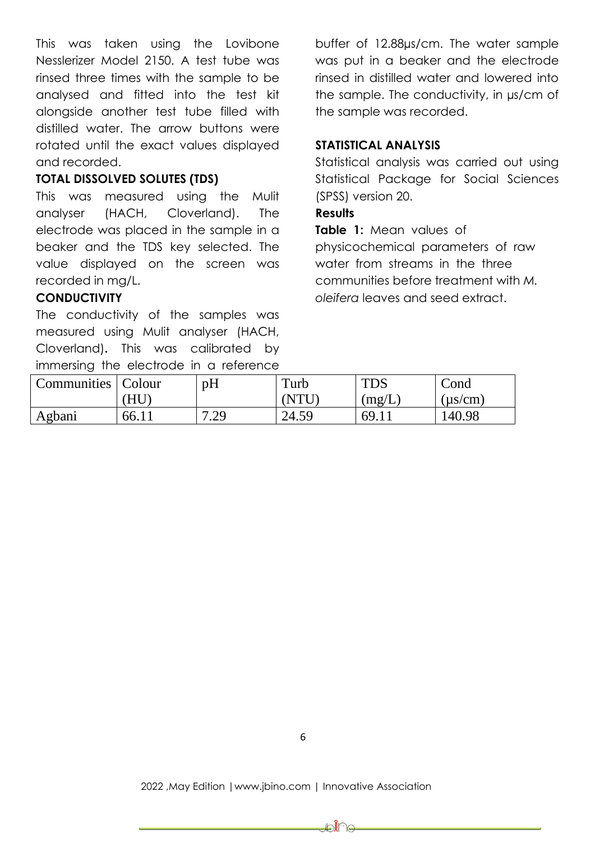This was taken using the Lovibone Nesslerizer Model 2150. A test tube was rinsed three times with the sample to be analysed and fitted into the test kit alongside another test tube filled with distilled water. The arrow buttons were rotated until the exact values displayed and recorded.

## **TOTAL DISSOLVED SOLUTES (TDS)**

This was measured using the Mulit analyser (HACH, Cloverland). The electrode was placed in the sample in a beaker and the TDS key selected. The value displayed on the screen was recorded in mg/L.

### **CONDUCTIVITY**

The conductivity of the samples was measured using Mulit analyser (HACH, Cloverland)**.** This was calibrated by immersing the electrode in a reference

buffer of 12.88µs/cm. The water sample was put in a beaker and the electrode rinsed in distilled water and lowered into the sample. The conductivity, in µs/cm of the sample was recorded.

### **STATISTICAL ANALYSIS**

Statistical analysis was carried out using Statistical Package for Social Sciences (SPSS) version 20.

### **Results**

**Table 1:** Mean values of physicochemical parameters of raw water from streams in the three communities before treatment with *M. oleifera* leaves and seed extract.

| ---                |        |             |        |            |              |
|--------------------|--------|-------------|--------|------------|--------------|
| <b>Communities</b> | Colour | pH          | Turb   | <b>TDS</b> | Cond         |
|                    | HU     |             | 'NTI I | (mg/L)     | $(\mu s/cm)$ |
| Agbani             | 66.11  | 7 29<br>رے. | 24.59  | 69.11      | 140.98       |

₽₩⊌

### 2022 ,May Edition |www.jbino.com | Innovative Association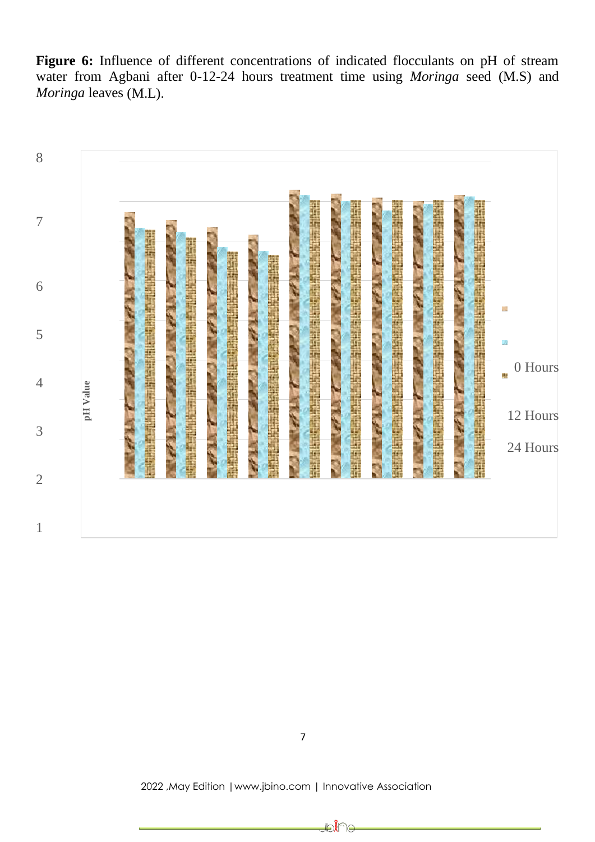Figure 6: Influence of different concentrations of indicated flocculants on pH of stream water from Agbani after 0-12-24 hours treatment time using *Moringa* seed (M.S) and *Moringa* leaves (M.L).



₽€∏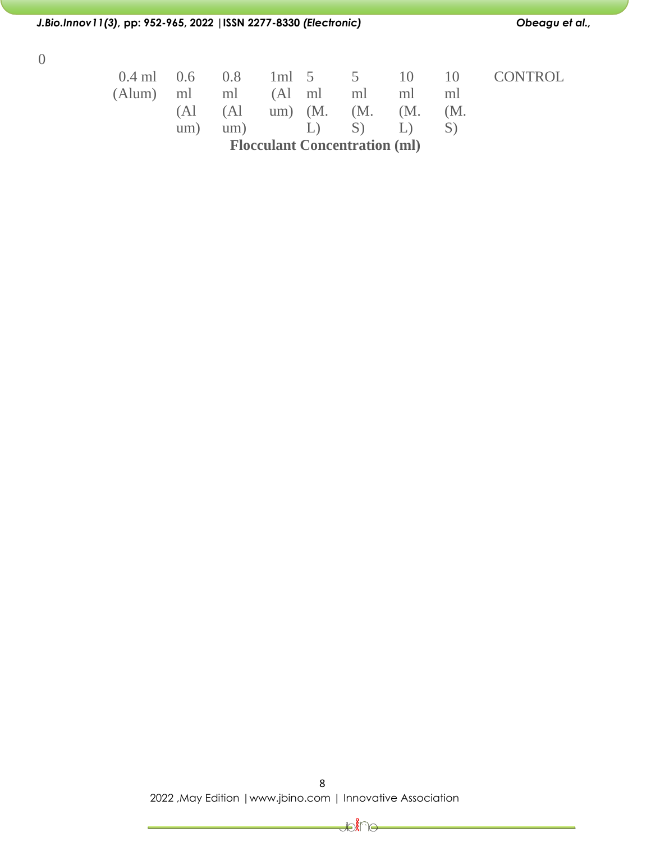### *J.Bio.Innov11(3),* **pp: 952-965, 2022 |ISSN 2277-8330** *(Electronic) Obeagu et al.,*

0

| $0.4 \text{ ml}$ 0.6 |             | 0.8 | $1ml$ 5     |         |  |
|----------------------|-------------|-----|-------------|---------|--|
| $(Alum)$ ml          |             | ml  | $(A1$ ml    |         |  |
|                      | $(A)$ $(A)$ |     | $um)$ $(M.$ |         |  |
|                      | um)         | um) |             | $\perp$ |  |

**CONTROL** 

10 ml (M. S)

5 ml (M. S)

**Flocculant Concentration (ml)**

10 ml (M. L)

8 2022 ,May Edition |www.jbino.com | Innovative Association

Joine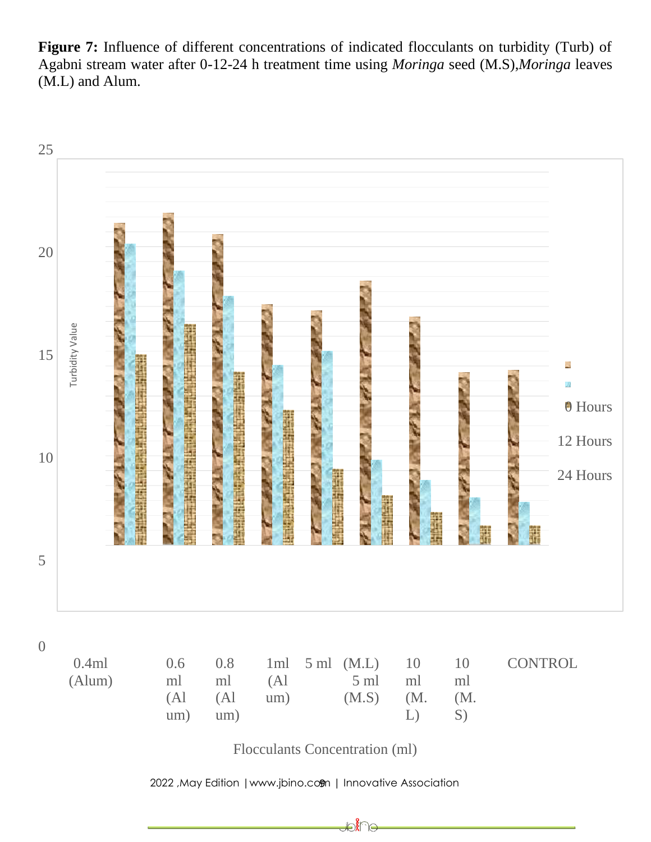**Figure 7:** Influence of different concentrations of indicated flocculants on turbidity (Turb) of Agabni stream water after 0-12-24 h treatment time using *Moringa* seed (M.S),*Moringa* leaves (M.L) and Alum.



Flocculants Concentration (ml)

₽Î∩⊖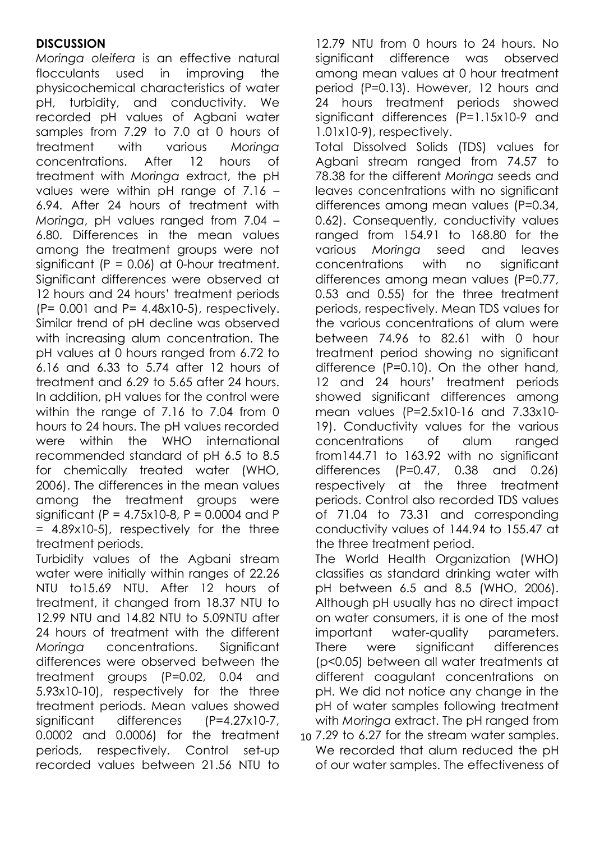## **DISCUSSION**

*Moringa oleifera* is an effective natural flocculants used in improving the physicochemical characteristics of water pH, turbidity, and conductivity. We recorded pH values of Agbani water samples from 7.29 to 7.0 at 0 hours of treatment with various *Moringa*  concentrations. After 12 hours of treatment with *Moringa* extract, the pH values were within pH range of 7.16 – 6.94. After 24 hours of treatment with *Moringa*, pH values ranged from 7.04 – 6.80. Differences in the mean values among the treatment groups were not significant  $(P = 0.06)$  at 0-hour treatment. Significant differences were observed at 12 hours and 24 hours' treatment periods (P= 0.001 and P= 4.48x10-5), respectively. Similar trend of pH decline was observed with increasing alum concentration. The pH values at 0 hours ranged from 6.72 to 6.16 and 6.33 to 5.74 after 12 hours of treatment and 6.29 to 5.65 after 24 hours. In addition, pH values for the control were within the range of 7.16 to 7.04 from 0 hours to 24 hours. The pH values recorded were within the WHO international recommended standard of pH 6.5 to 8.5 for chemically treated water (WHO, 2006). The differences in the mean values among the treatment groups were significant (P =  $4.75x10-8$ , P = 0.0004 and P = 4.89x10-5), respectively for the three treatment periods.

Turbidity values of the Agbani stream water were initially within ranges of 22.26 NTU to15.69 NTU. After 12 hours of treatment, it changed from 18.37 NTU to 12.99 NTU and 14.82 NTU to 5.09NTU after 24 hours of treatment with the different *Moringa* concentrations. Significant differences were observed between the treatment groups (P=0.02, 0.04 and 5.93x10-10), respectively for the three treatment periods. Mean values showed significant differences (P=4.27x10-7, 0.0002 and 0.0006) for the treatment periods, respectively. Control set-up recorded values between 21.56 NTU to

12.79 NTU from 0 hours to 24 hours. No significant difference was observed among mean values at 0 hour treatment period (P=0.13). However, 12 hours and 24 hours treatment periods showed significant differences (P=1.15x10-9 and 1.01x10-9), respectively.

Total Dissolved Solids (TDS) values for Agbani stream ranged from 74.57 to 78.38 for the different *Moringa* seeds and leaves concentrations with no significant differences among mean values (P=0.34, 0.62). Consequently, conductivity values ranged from 154.91 to 168.80 for the various *Moringa* seed and leaves concentrations with no significant differences among mean values (P=0.77, 0.53 and 0.55) for the three treatment periods, respectively. Mean TDS values for the various concentrations of alum were between 74.96 to 82.61 with 0 hour treatment period showing no significant difference (P=0.10). On the other hand, 12 and 24 hours' treatment periods showed significant differences among mean values (P=2.5x10-16 and 7.33x10- 19). Conductivity values for the various concentrations of alum ranged from144.71 to 163.92 with no significant differences (P=0.47, 0.38 and 0.26) respectively at the three treatment periods. Control also recorded TDS values of 71.04 to 73.31 and corresponding conductivity values of 144.94 to 155.47 at the three treatment period.

The World Health Organization (WHO) classifies as standard drinking water with pH between 6.5 and 8.5 (WHO, 2006). Although pH usually has no direct impact on water consumers, it is one of the most important water-quality parameters. There were significant differences (p<0.05) between all water treatments at different coagulant concentrations on pH. We did not notice any change in the pH of water samples following treatment with *Moringa* extract. The pH ranged from

10 7.29 to 6.27 for the stream water samples. We recorded that alum reduced the pH of our water samples. The effectiveness of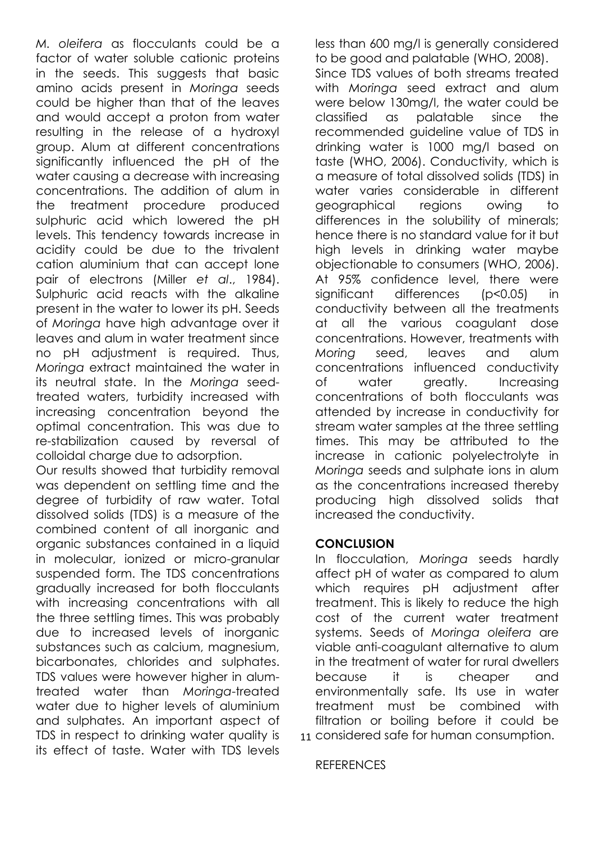*M. oleifera* as flocculants could be a factor of water soluble cationic proteins in the seeds. This suggests that basic amino acids present in *Moringa* seeds could be higher than that of the leaves and would accept a proton from water resulting in the release of a hydroxyl group. Alum at different concentrations significantly influenced the pH of the water causing a decrease with increasing concentrations. The addition of alum in the treatment procedure produced sulphuric acid which lowered the pH levels. This tendency towards increase in acidity could be due to the trivalent cation aluminium that can accept lone pair of electrons (Miller *et al*., 1984). Sulphuric acid reacts with the alkaline present in the water to lower its pH. Seeds of *Moringa* have high advantage over it leaves and alum in water treatment since no pH adjustment is required. Thus, *Moringa* extract maintained the water in its neutral state. In the *Moringa* seedtreated waters, turbidity increased with increasing concentration beyond the optimal concentration. This was due to re-stabilization caused by reversal of colloidal charge due to adsorption.

Our results showed that turbidity removal was dependent on settling time and the degree of turbidity of raw water. Total dissolved solids (TDS) is a measure of the combined content of all inorganic and organic substances contained in a liquid in molecular, ionized or micro-granular suspended form. The TDS concentrations gradually increased for both flocculants with increasing concentrations with all the three settling times. This was probably due to increased levels of inorganic substances such as calcium, magnesium, bicarbonates, chlorides and sulphates. TDS values were however higher in alumtreated water than *Moringa*-treated water due to higher levels of aluminium and sulphates. An important aspect of TDS in respect to drinking water quality is its effect of taste. Water with TDS levels

less than 600 mg/l is generally considered to be good and palatable (WHO, 2008). Since TDS values of both streams treated with *Moringa* seed extract and alum were below 130mg/l, the water could be classified as palatable since the recommended guideline value of TDS in drinking water is 1000 mg/l based on taste (WHO, 2006). Conductivity, which is a measure of total dissolved solids (TDS) in water varies considerable in different geographical regions owing to differences in the solubility of minerals; hence there is no standard value for it but high levels in drinking water maybe objectionable to consumers (WHO, 2006). At 95% confidence level, there were significant differences (p<0.05) in conductivity between all the treatments at all the various coagulant dose concentrations. However, treatments with *Moring* seed, leaves and alum concentrations influenced conductivity of water greatly. Increasing concentrations of both flocculants was attended by increase in conductivity for stream water samples at the three settling times. This may be attributed to the increase in cationic polyelectrolyte in *Moringa* seeds and sulphate ions in alum as the concentrations increased thereby producing high dissolved solids that increased the conductivity.

### **CONCLUSION**

11 considered safe for human consumption. In flocculation, *Moringa* seeds hardly affect pH of water as compared to alum which requires pH adjustment after treatment. This is likely to reduce the high cost of the current water treatment systems. Seeds of *Moringa oleifera* are viable anti-coagulant alternative to alum in the treatment of water for rural dwellers because it is cheaper and environmentally safe. Its use in water treatment must be combined with filtration or boiling before it could be

### **REFERENCES**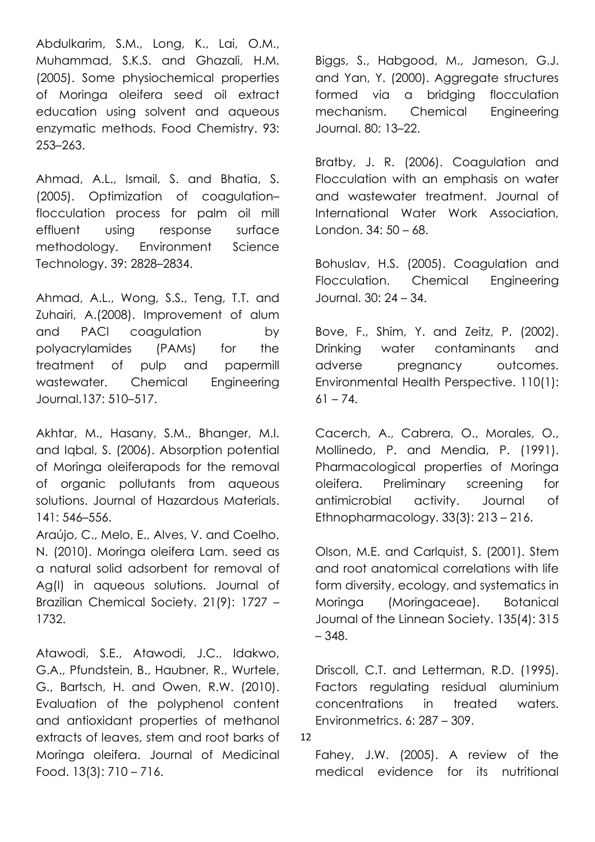Abdulkarim, S.M., Long, K., Lai, O.M., Muhammad, S.K.S. and Ghazali, H.M. (2005). Some physiochemical properties of Moringa oleifera seed oil extract education using solvent and aqueous enzymatic methods. Food Chemistry. 93: 253–263.

Ahmad, A.L., Ismail, S. and Bhatia, S. (2005). Optimization of coagulation– flocculation process for palm oil mill effluent using response surface methodology. Environment Science Technology. 39: 2828–2834.

Ahmad, A.L., Wong, S.S., Teng, T.T. and Zuhairi, A.(2008). Improvement of alum and PACl coagulation by polyacrylamides (PAMs) for the treatment of pulp and papermill wastewater. Chemical Engineering Journal.137: 510–517.

Akhtar, M., Hasany, S.M., Bhanger, M.I. and Iqbal, S. (2006). Absorption potential of Moringa oleiferapods for the removal of organic pollutants from aqueous solutions. Journal of Hazardous Materials. 141: 546–556.

Araújo, C., Melo, E., Alves, V. and Coelho, N. (2010). Moringa oleifera Lam. seed as a natural solid adsorbent for removal of Ag(I) in aqueous solutions. Journal of Brazilian Chemical Society. 21(9): 1727 – 1732.

Atawodi, S.E., Atawodi, J.C., Idakwo, G.A., Pfundstein, B., Haubner, R., Wurtele, G., Bartsch, H. and Owen, R.W. (2010). Evaluation of the polyphenol content and antioxidant properties of methanol extracts of leaves, stem and root barks of Moringa oleifera. Journal of Medicinal Food. 13(3): 710 – 716.

Biggs, S., Habgood, M., Jameson, G.J. and Yan, Y. (2000). Aggregate structures formed via a bridging flocculation mechanism. Chemical Engineering Journal. 80: 13–22.

Bratby, J. R. (2006). Coagulation and Flocculation with an emphasis on water and wastewater treatment. Journal of International Water Work Association, London. 34: 50 – 68.

Bohuslav, H.S. (2005). Coagulation and Flocculation. Chemical Engineering Journal. 30: 24 – 34.

Bove, F., Shim, Y. and Zeitz, P. (2002). Drinking water contaminants and adverse pregnancy outcomes. Environmental Health Perspective. 110(1):  $61 - 74.$ 

Cacerch, A., Cabrera, O., Morales, O., Mollinedo, P. and Mendia, P. (1991). Pharmacological properties of Moringa oleifera. Preliminary screening for antimicrobial activity. Journal of Ethnopharmacology. 33(3): 213 – 216.

Olson, M.E. and Carlquist, S. (2001). Stem and root anatomical correlations with life form diversity, ecology, and systematics in Moringa (Moringaceae). Botanical Journal of the Linnean Society. 135(4): 315 – 348.

Driscoll, C.T. and Letterman, R.D. (1995). Factors regulating residual aluminium concentrations in treated waters. Environmetrics. 6: 287 – 309.

12

Fahey, J.W. (2005). A review of the medical evidence for its nutritional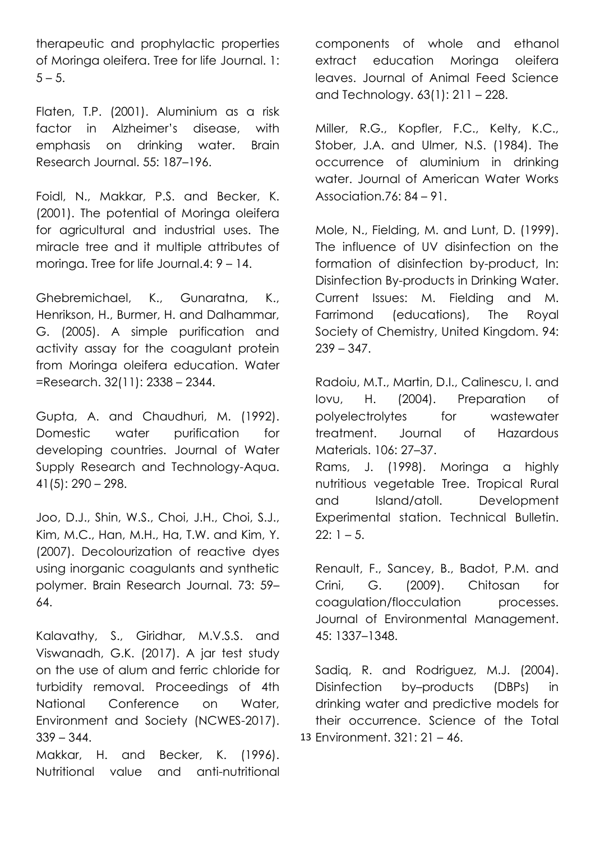therapeutic and prophylactic properties of Moringa oleifera. Tree for life Journal. 1:  $5 - 5.$ 

Flaten, T.P. (2001). Aluminium as a risk factor in Alzheimer's disease, with emphasis on drinking water. Brain Research Journal. 55: 187–196.

Foidl, N., Makkar, P.S. and Becker, K. (2001). The potential of Moringa oleifera for agricultural and industrial uses. The miracle tree and it multiple attributes of moringa. Tree for life Journal.4: 9 – 14.

Ghebremichael, K., Gunaratna, K., Henrikson, H., Burmer, H. and Dalhammar, G. (2005). A simple purification and activity assay for the coagulant protein from Moringa oleifera education. Water =Research. 32(11): 2338 – 2344.

Gupta, A. and Chaudhuri, M. (1992). Domestic water purification for developing countries. Journal of Water Supply Research and Technology-Aqua.  $41(5): 290 - 298.$ 

Joo, D.J., Shin, W.S., Choi, J.H., Choi, S.J., Kim, M.C., Han, M.H., Ha, T.W. and Kim, Y. (2007). Decolourization of reactive dyes using inorganic coagulants and synthetic polymer. Brain Research Journal. 73: 59– 64.

Kalavathy, S., Giridhar, M.V.S.S. and Viswanadh, G.K. (2017). A jar test study on the use of alum and ferric chloride for turbidity removal. Proceedings of 4th National Conference on Water, Environment and Society (NCWES-2017).  $339 - 344.$ 

Makkar, H. and Becker, K. (1996). Nutritional value and anti-nutritional components of whole and ethanol extract education Moringa oleifera leaves. Journal of Animal Feed Science and Technology. 63(1): 211 – 228.

Miller, R.G., Kopfler, F.C., Kelty, K.C., Stober, J.A. and Ulmer, N.S. (1984). The occurrence of aluminium in drinking water. Journal of American Water Works Association.76: 84 – 91.

Mole, N., Fielding, M. and Lunt, D. (1999). The influence of UV disinfection on the formation of disinfection by-product, In: Disinfection By-products in Drinking Water. Current Issues: M. Fielding and M. Farrimond (educations), The Royal Society of Chemistry, United Kingdom. 94:  $239 - 347$ .

Radoiu, M.T., Martin, D.I., Calinescu, I. and Iovu, H. (2004). Preparation of polyelectrolytes for wastewater treatment. Journal of Hazardous Materials. 106: 27–37.

Rams, J. (1998). Moringa a highly nutritious vegetable Tree. Tropical Rural and Island/atoll. Development Experimental station. Technical Bulletin.  $22: 1 - 5.$ 

Renault, F., Sancey, B., Badot, P.M. and Crini, G. (2009). Chitosan for coagulation/flocculation processes. Journal of Environmental Management. 45: 1337–1348.

13 Environment. 321: 21 – 46.Sadiq, R. and Rodriguez, M.J. (2004). Disinfection by–products (DBPs) in drinking water and predictive models for their occurrence. Science of the Total